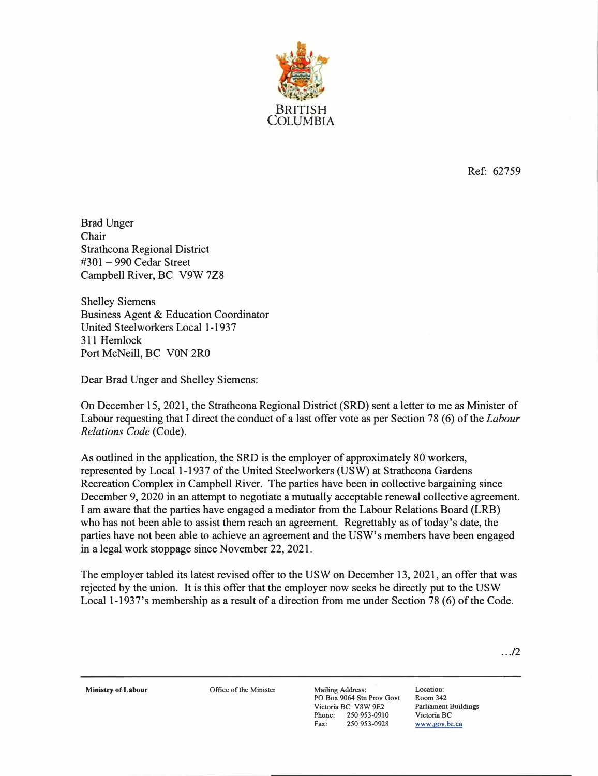

Ref: 62759

Brad Unger Chair Strathcona Regional District #301 - 990 Cedar Street Campbell River, BC V9W 7Z8

Shelley Siemens Business Agent & Education Coordinator United Steelworkers Local 1-1937 311 Hemlock Port McNeill, BC V0N 2R0

Dear Brad Unger and Shelley Siemens:

On December 15, 2021, the Strathcona Regional District (SRD) sent a letter to me as Minister of Labour requesting that I direct the conduct of a last offer vote as per Section 78 (6) of the *Labour Relations Code* (Code).

As outlined in the application, the SRD is the employer of approximately 80 workers, represented by Local 1-1937 of the United Steelworkers (USW) at Strathcona Gardens Recreation Complex in Campbell River. The parties have been in collective bargaining since December 9, 2020 in an attempt to negotiate a mutually acceptable renewal collective agreement. I am aware that the parties have engaged a mediator from the Labour Relations Board (LRB) who has not been able to assist them reach an agreement. Regrettably as of today's date, the parties have not been able to achieve an agreement and the USW's members have been engaged in a legal work stoppage since November 22, 2021.

The employer tabled its latest revised offer to the USW on December 13, 2021, an offer that was rejected by the union. It is this offer that the employer now seeks be directly put to the USW Local 1-1937's membership as a result of a direction from me under Section 78 (6) of the Code.

.. ./2

**Ministry of Labour Office of the Minister Mailing Address:** 

PO Box 9064 Stn Prov Govt Victoria BC V8W 9E2 Phone: 250 953-0910<br>Fax: 250 953-0928 250 953-0928

Location: Room342 Parliament Buildings Victoria BC **www.gov.bc.ca**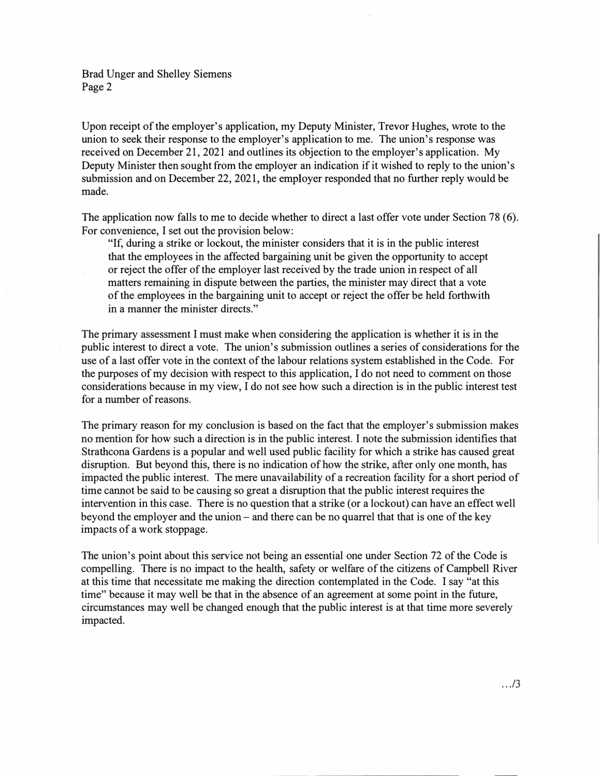Brad Unger and Shelley Siemens Page 2

Upon receipt of the employer's application, my Deputy Minister, Trevor Hughes, wrote to the union to seek their response to the employer's application to me. The union's response was received on December 21, 2021 and outlines its objection to the employer's application. My Deputy Minister then sought from the employer an indication if it wished to reply to the union's submission and on December 22, 2021, the employer responded that no further reply would be made.

The application now falls to me to decide whether to direct a last offer vote under Section 78 (6). For convenience, I set out the provision below:

"If, during a strike or lockout, the minister considers that it is in the public interest that the employees in the affected bargaining unit be given the opportunity to accept or reject the offer of the employer last received by the trade union in respect of all matters remaining in dispute between the parties, the minister may direct that a vote of the employees in the bargaining unit to accept or reject the offer be held forthwith in a manner the minister directs."

The primary assessment I must make when considering the application is whether it is in the public interest to direct a vote. The union's submission outlines a series of considerations for the use of a last offer vote in the context of the labour relations system established in the Code. For the purposes of my decision with respect to this application, I do not need to comment on those considerations because in my view, I do not see how such a direction is in the public interest test for a number of reasons.

The primary reason for my conclusion is based on the fact that the employer's submission makes no mention for how such a direction is in the public interest. I note the submission identifies that Strathcona Gardens is a popular and well used public facility for which a strike has caused great disruption. But beyond this, there is no indication of how the strike, after only one month, has impacted the public interest. The mere unavailability of a recreation facility for a short period of time cannot be said to be causing so great a disruption that the public interest requires the intervention in this case. There is no question that a strike (or a lockout) can have an effect well beyond the employer and the union – and there can be no quarrel that that is one of the key impacts of a work stoppage.

The union's point about this service not being an essential one under Section 72 of the Code is compelling. There is no impact to the health, safety or welfare of the citizens of Campbell River at this time that necessitate me making the direction contemplated in the Code. I say "at this time" because it may well be that in the absence of an agreement at some point in the future, circumstances may well be changed enough that the public interest is at that time more severely impacted.